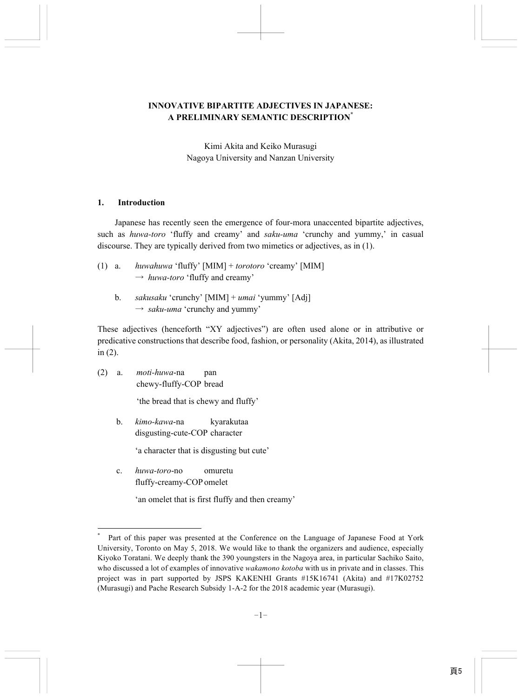### **INNOVATIVE BIPARTITE ADJECTIVES IN JAPANESE: A PRELIMINARY SEMANTIC DESCRIPTION\***

Kimi Akita and Keiko Murasugi Nagoya University and Nanzan University

### **1. Introduction**

 Japanese has recently seen the emergence of four-mora unaccented bipartite adjectives, such as *huwa-toro* 'fluffy and creamy' and *saku-uma* 'crunchy and yummy,' in casual discourse. They are typically derived from two mimetics or adjectives, as in (1).

- (1) a. *huwahuwa* 'fluffy' [MIM] + *torotoro* 'creamy' [MIM] → *huwa-toro* 'fluffy and creamy'
- b. *sakusaku* 'crunchy' [MIM] + *umai* 'yummy' [Adj]  $\rightarrow$  *saku-uma* 'crunchy and yummy'

These adjectives (henceforth "XY adjectives") are often used alone or in attributive or predicative constructions that describe food, fashion, or personality (Akita, 2014), as illustrated in (2).

(2) a. *moti-huwa*-na pan chewy-fluffy-COP bread

'the bread that is chewy and fluffy'

 b. *kimo-kawa*-na kyarakutaa disgusting-cute-COP character

'a character that is disgusting but cute'

 c. *huwa-toro*-no omuretu fluffy-creamy-COP omelet

 $\overline{a}$ 

'an omelet that is first fluffy and then creamy'

<sup>\*</sup> Part of this paper was presented at the Conference on the Language of Japanese Food at York University, Toronto on May 5, 2018. We would like to thank the organizers and audience, especially Kiyoko Toratani. We deeply thank the 390 youngsters in the Nagoya area, in particular Sachiko Saito, who discussed a lot of examples of innovative *wakamono kotoba* with us in private and in classes. This project was in part supported by JSPS KAKENHI Grants #15K16741 (Akita) and #17K02752 (Murasugi) and Pache Research Subsidy 1-A-2 for the 2018 academic year (Murasugi).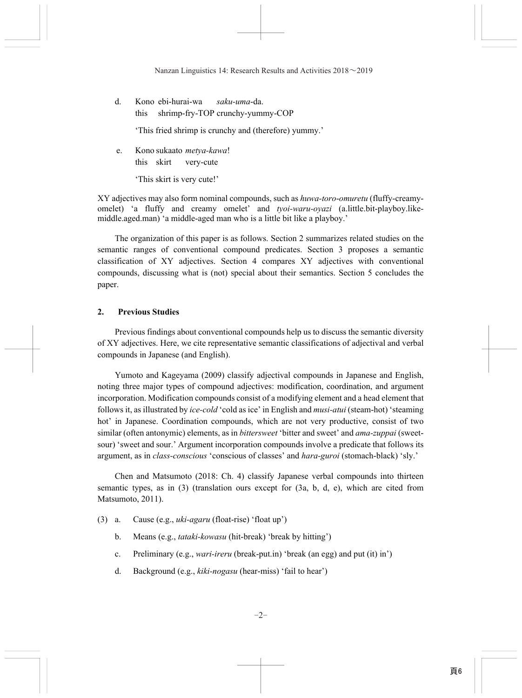d. Kono ebi-hurai-wa *saku-uma*-da. this shrimp-fry-TOP crunchy-yummy-COP

'This fried shrimp is crunchy and (therefore) yummy.'

 e. Kono sukaato *metya-kawa*! this skirt very-cute

'This skirt is very cute!'

XY adjectives may also form nominal compounds, such as *huwa-toro*-*omuretu* (fluffy-creamyomelet) 'a fluffy and creamy omelet' and *tyoi-waru-oyazi* (a.little.bit-playboy.likemiddle.aged.man) 'a middle-aged man who is a little bit like a playboy.'

 The organization of this paper is as follows. Section 2 summarizes related studies on the semantic ranges of conventional compound predicates. Section 3 proposes a semantic classification of XY adjectives. Section 4 compares XY adjectives with conventional compounds, discussing what is (not) special about their semantics. Section 5 concludes the paper.

### **2. Previous Studies**

 Previous findings about conventional compounds help us to discuss the semantic diversity of XY adjectives. Here, we cite representative semantic classifications of adjectival and verbal compounds in Japanese (and English).

 Yumoto and Kageyama (2009) classify adjectival compounds in Japanese and English, noting three major types of compound adjectives: modification, coordination, and argument incorporation. Modification compounds consist of a modifying element and a head element that follows it, as illustrated by *ice-cold* 'cold as ice' in English and *musi-atui* (steam-hot) 'steaming hot' in Japanese. Coordination compounds, which are not very productive, consist of two similar (often antonymic) elements, as in *bittersweet* 'bitter and sweet' and *ama-zuppai* (sweetsour) 'sweet and sour.' Argument incorporation compounds involve a predicate that follows its argument, as in *class-conscious* 'conscious of classes' and *hara-guroi* (stomach-black) 'sly.'

 Chen and Matsumoto (2018: Ch. 4) classify Japanese verbal compounds into thirteen semantic types, as in (3) (translation ours except for (3a, b, d, e), which are cited from Matsumoto, 2011).

- (3) a. Cause (e.g., *uki-agaru* (float-rise) 'float up')
	- b. Means (e.g., *tataki-kowasu* (hit-break) 'break by hitting')
	- c. Preliminary (e.g., *wari-ireru* (break-put.in) 'break (an egg) and put (it) in')
	- d. Background (e.g., *kiki-nogasu* (hear-miss) 'fail to hear')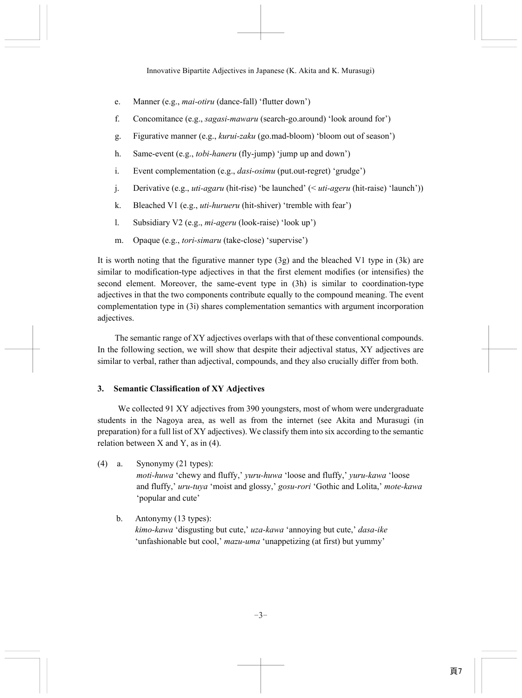- e. Manner (e.g., *mai-otiru* (dance-fall) 'flutter down')
- f. Concomitance (e.g., *sagasi-mawaru* (search-go.around) 'look around for')
- g. Figurative manner (e.g., *kurui-zaku* (go.mad-bloom) 'bloom out of season')
- h. Same-event (e.g., *tobi-haneru* (fly-jump) 'jump up and down')
- i. Event complementation (e.g., *dasi-osimu* (put.out-regret) 'grudge')
- j. Derivative (e.g., *uti-agaru* (hit-rise) 'be launched' (< *uti-ageru* (hit-raise) 'launch'))
- k. Bleached V1 (e.g., *uti-hurueru* (hit-shiver) 'tremble with fear')
- l. Subsidiary V2 (e.g., *mi-ageru* (look-raise) 'look up')
- m. Opaque (e.g., *tori-simaru* (take-close) 'supervise')

It is worth noting that the figurative manner type  $(3g)$  and the bleached V1 type in  $(3k)$  are similar to modification-type adjectives in that the first element modifies (or intensifies) the second element. Moreover, the same-event type in (3h) is similar to coordination-type adjectives in that the two components contribute equally to the compound meaning. The event complementation type in (3i) shares complementation semantics with argument incorporation adjectives.

 The semantic range of XY adjectives overlaps with that of these conventional compounds. In the following section, we will show that despite their adjectival status, XY adjectives are similar to verbal, rather than adjectival, compounds, and they also crucially differ from both.

# **3. Semantic Classification of XY Adjectives**

We collected 91 XY adjectives from 390 youngsters, most of whom were undergraduate students in the Nagoya area, as well as from the internet (see Akita and Murasugi (in preparation) for a full list of XY adjectives). We classify them into six according to the semantic relation between X and Y, as in (4).

- (4) a. Synonymy (21 types): *moti-huwa* 'chewy and fluffy,' *yuru-huwa* 'loose and fluffy,' *yuru-kawa* 'loose and fluffy,' *uru-tuya* 'moist and glossy,' *gosu-rori* 'Gothic and Lolita,' *mote-kawa*  'popular and cute'
	- b. Antonymy (13 types): *kimo-kawa* 'disgusting but cute,' *uza-kawa* 'annoying but cute,' *dasa-ike*  'unfashionable but cool,' *mazu-uma* 'unappetizing (at first) but yummy'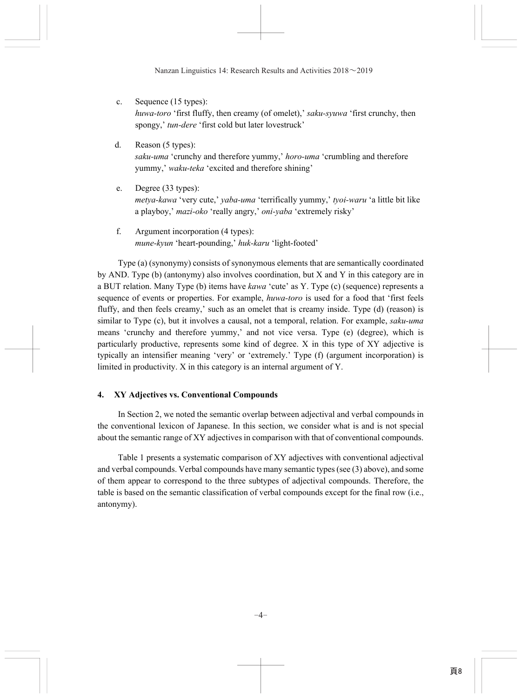- c. Sequence (15 types): *huwa-toro* 'first fluffy, then creamy (of omelet),' *saku-syuwa* 'first crunchy, then spongy,' *tun-dere* 'first cold but later lovestruck'
- d. Reason (5 types): *saku-uma* 'crunchy and therefore yummy,' *horo-uma* 'crumbling and therefore yummy,' *waku-teka* 'excited and therefore shining'
- e. Degree (33 types): *metya-kawa* 'very cute,' *yaba-uma* 'terrifically yummy,' *tyoi-waru* 'a little bit like a playboy,' *mazi-oko* 'really angry,' *oni-yaba* 'extremely risky'
- f. Argument incorporation (4 types): *mune-kyun* 'heart-pounding,' *huk-karu* 'light-footed'

Type (a) (synonymy) consists of synonymous elements that are semantically coordinated by AND. Type (b) (antonymy) also involves coordination, but X and Y in this category are in a BUT relation. Many Type (b) items have *kawa* 'cute' as Y. Type (c) (sequence) represents a sequence of events or properties. For example, *huwa-toro* is used for a food that 'first feels fluffy, and then feels creamy,' such as an omelet that is creamy inside. Type (d) (reason) is similar to Type (c), but it involves a causal, not a temporal, relation. For example, *saku-uma* means 'crunchy and therefore yummy,' and not vice versa. Type (e) (degree), which is particularly productive, represents some kind of degree. X in this type of XY adjective is typically an intensifier meaning 'very' or 'extremely.' Type (f) (argument incorporation) is limited in productivity. X in this category is an internal argument of Y.

# **4. XY Adjectives vs. Conventional Compounds**

In Section 2, we noted the semantic overlap between adjectival and verbal compounds in the conventional lexicon of Japanese. In this section, we consider what is and is not special about the semantic range of XY adjectives in comparison with that of conventional compounds.

Table 1 presents a systematic comparison of XY adjectives with conventional adjectival and verbal compounds. Verbal compounds have many semantic types (see (3) above), and some of them appear to correspond to the three subtypes of adjectival compounds. Therefore, the table is based on the semantic classification of verbal compounds except for the final row (i.e., antonymy).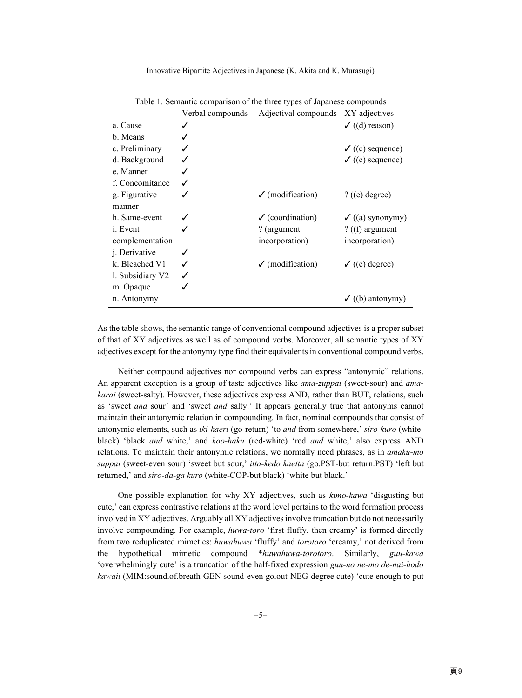|                  |   | Verbal compounds Adjectival compounds XY adjectives |                             |
|------------------|---|-----------------------------------------------------|-----------------------------|
| a. Cause         | ✓ |                                                     | $\checkmark$ ((d) reason)   |
| b. Means         |   |                                                     |                             |
| c. Preliminary   |   |                                                     | $\checkmark$ ((c) sequence) |
| d. Background    |   |                                                     | $\checkmark$ ((c) sequence) |
| e. Manner        |   |                                                     |                             |
| f. Concomitance  |   |                                                     |                             |
| g. Figurative    |   | $\checkmark$ (modification)                         | $?$ ((e) degree)            |
| manner           |   |                                                     |                             |
| h. Same-event    |   | $\checkmark$ (coordination)                         | $\checkmark$ ((a) synonymy) |
| <i>i</i> . Event |   | ? (argument                                         | $?$ ((f) argument           |
| complementation  |   | incorporation)                                      | incorporation)              |
| j. Derivative    | ✓ |                                                     |                             |
| k. Bleached V1   |   | $\checkmark$ (modification)                         | $\checkmark$ ((e) degree)   |
| l. Subsidiary V2 |   |                                                     |                             |
| m. Opaque        |   |                                                     |                             |
| n. Antonymy      |   |                                                     | $\checkmark$ ((b) antonymy) |

Table 1. Semantic comparison of the three types of Japanese compounds

As the table shows, the semantic range of conventional compound adjectives is a proper subset of that of XY adjectives as well as of compound verbs. Moreover, all semantic types of XY adjectives except for the antonymy type find their equivalents in conventional compound verbs.

Neither compound adjectives nor compound verbs can express "antonymic" relations. An apparent exception is a group of taste adjectives like *ama-zuppai* (sweet-sour) and *amakarai* (sweet-salty). However, these adjectives express AND, rather than BUT, relations, such as 'sweet *and* sour' and 'sweet *and* salty.' It appears generally true that antonyms cannot maintain their antonymic relation in compounding. In fact, nominal compounds that consist of antonymic elements, such as *iki-kaeri* (go-return) 'to *and* from somewhere,' *siro-kuro* (whiteblack) 'black *and* white,' and *koo-haku* (red-white) 'red *and* white,' also express AND relations. To maintain their antonymic relations, we normally need phrases, as in *amaku-mo suppai* (sweet-even sour) 'sweet but sour,' *itta-kedo kaetta* (go.PST-but return.PST) 'left but returned,' and *siro-da-ga kuro* (white-COP-but black) 'white but black.'

One possible explanation for why XY adjectives, such as *kimo-kawa* 'disgusting but cute,' can express contrastive relations at the word level pertains to the word formation process involved in XY adjectives. Arguably all XY adjectives involve truncation but do not necessarily involve compounding. For example, *huwa-toro* 'first fluffy, then creamy' is formed directly from two reduplicated mimetics: *huwahuwa* 'fluffy' and *torotoro* 'creamy,' not derived from the hypothetical mimetic compound \**huwahuwa-torotoro*. Similarly, *guu-kawa*  'overwhelmingly cute' is a truncation of the half-fixed expression *guu-no ne-mo de-nai-hodo kawaii* (MIM:sound.of.breath-GEN sound-even go.out-NEG-degree cute) 'cute enough to put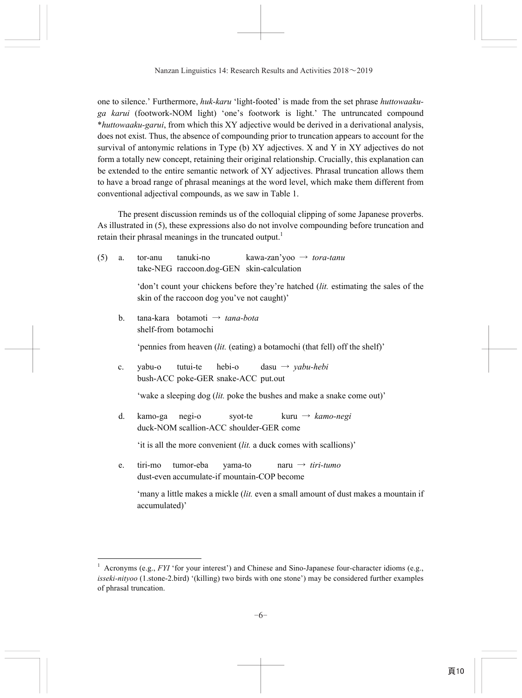one to silence.' Furthermore, *huk-karu* 'light-footed' is made from the set phrase *huttowaakuga karui* (footwork-NOM light) 'one's footwork is light.' The untruncated compound \**huttowaaku-garui*, from which this XY adjective would be derived in a derivational analysis, does not exist. Thus, the absence of compounding prior to truncation appears to account for the survival of antonymic relations in Type (b) XY adjectives. X and Y in XY adjectives do not form a totally new concept, retaining their original relationship. Crucially, this explanation can be extended to the entire semantic network of XY adjectives. Phrasal truncation allows them to have a broad range of phrasal meanings at the word level, which make them different from conventional adjectival compounds, as we saw in Table 1.

The present discussion reminds us of the colloquial clipping of some Japanese proverbs. As illustrated in (5), these expressions also do not involve compounding before truncation and retain their phrasal meanings in the truncated output.<sup>1</sup>

| (5) | a.             | $tanuki-no$ kawa-zan'yoo $\rightarrow$ tora-tanu<br>tor-anu<br>take-NEG raccoon.dog-GEN skin-calculation                                  |
|-----|----------------|-------------------------------------------------------------------------------------------------------------------------------------------|
|     |                | 'don't count your chickens before they're hatched <i>(lit.</i> estimating the sales of the<br>skin of the raccoon dog you've not caught)' |
|     | $\mathbf{b}$ . | tana-kara botamoti $\rightarrow$ tana-bota<br>shelf-from botamochi                                                                        |
|     |                | 'pennies from heaven <i>(lit. (eating)</i> a botamochi <i>(that fell)</i> off the shelf)'                                                 |
|     | $c_{\cdot}$    | yabu-o tutui-te hebi-o dasu $\rightarrow$ yabu-hebi<br>bush-ACC poke-GER snake-ACC put.out                                                |
|     |                | 'wake a sleeping dog <i>(lit.</i> poke the bushes and make a snake come out)'                                                             |
|     | d.             | kamo-ga negi-o syot-te kuru $\rightarrow$ kamo-negi<br>duck-NOM scallion-ACC shoulder-GER come                                            |
|     |                | 'it is all the more convenient <i>(lit.</i> a duck comes with scallions)'                                                                 |
|     | e.             | tiri-mo<br>tumor-eba<br>yama-to naru $\rightarrow$ tiri-tumo<br>dust-even accumulate-if mountain-COP become                               |
|     |                | 'many a little makes a mickle (lit. even a small amount of dust makes a mountain if<br>accumulated)'                                      |
|     |                |                                                                                                                                           |

<sup>&</sup>lt;sup>1</sup> Acronyms (e.g., *FYI* 'for your interest') and Chinese and Sino-Japanese four-character idioms (e.g., *isseki-nityoo* (1.stone-2.bird) '(killing) two birds with one stone') may be considered further examples of phrasal truncation.